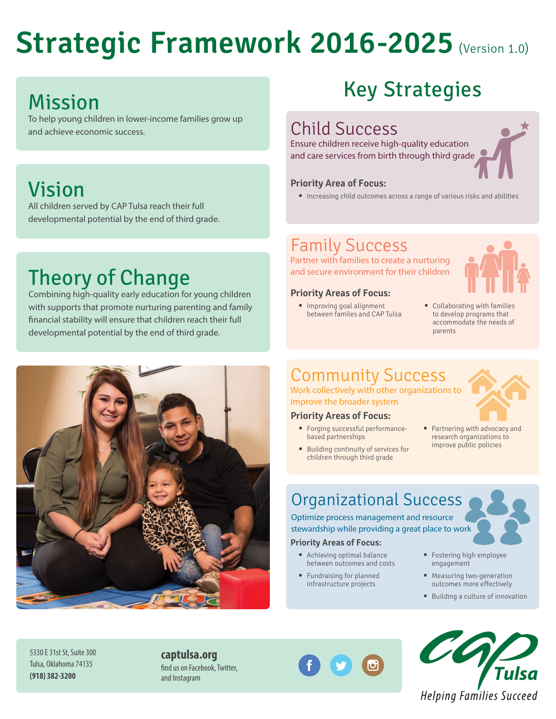# **Strategic Framework 2016-2025** (Version 1.0)

# Mission

To help young children in lower-income families grow up and achieve economic success.

## Vision

All children served by CAP Tulsa reach their full developmental potential by the end of third grade.

# Theory of Change

Combining high-quality early education for young children with supports that promote nurturing parenting and family financial stability will ensure that children reach their full developmental potential by the end of third grade.



# Key Strategies

## Child Success

Ensure children receive high-quality education and care services from birth through third grade

#### **Priority Area of Focus:**

**•** Increasing child outcomes across a range of various risks and abilities

### Family Success

Partner with families to create a nurturing and secure environment for their children

#### **Priority Areas of Focus:**

**•** Improving goal alignment between familes and CAP Tulsa



**•** Collaborating with families to develop programs that accommodate the needs of parents

## Community Success

Work collectively with other organizations to improve the broader system

#### **Priority Areas of Focus:**

- **•** Forging successful performancebased partnerships
- **•** Building continuity of services for children through third grade



**•** Partnering with advocacy and research organizations to improve public policies

## Organizational Success

Optimize process management and resource stewardship while providing a great place to work

#### **Priority Areas of Focus:**

- **•** Achieving optimal balance between outcomes and costs
- **•** Fundraising for planned infrastructure projects
- **•** Fostering high employee engagement
- **•** Measuring two-generation outcomes more effectively
- **•** Building a culture of innovation



5330 E 31st St, Suite 300 Tulsa, Oklahoma 74135 **(918) 382-3200**

**captulsa.org** find us on Facebook, Twitter, and Instagram